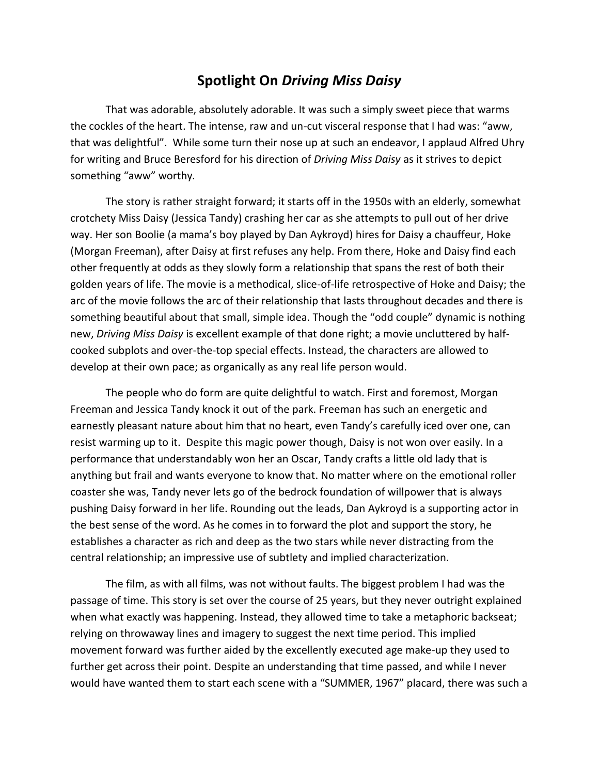## **Spotlight On** *Driving Miss Daisy*

That was adorable, absolutely adorable. It was such a simply sweet piece that warms the cockles of the heart. The intense, raw and un-cut visceral response that I had was: "aww, that was delightful". While some turn their nose up at such an endeavor, I applaud Alfred Uhry for writing and [Bruce Beresford](http://en.wikipedia.org/wiki/Bruce_Beresford) for his direction of *Driving Miss Daisy* as it strives to depict something "aww" worthy*.*

The story is rather straight forward; it starts off in the 1950s with an elderly, somewhat crotchety Miss Daisy (Jessica Tandy) crashing her car as she attempts to pull out of her drive way. Her son Boolie (a mama's boy played by Dan Aykroyd) hires for Daisy a chauffeur, Hoke (Morgan Freeman), after Daisy at first refuses any help. From there, Hoke and Daisy find each other frequently at odds as they slowly form a relationship that spans the rest of both their golden years of life. The movie is a methodical, slice-of-life retrospective of Hoke and Daisy; the arc of the movie follows the arc of their relationship that lasts throughout decades and there is something beautiful about that small, simple idea. Though the "odd couple" dynamic is nothing new, *Driving Miss Daisy* is excellent example of that done right; a movie uncluttered by halfcooked subplots and over-the-top special effects. Instead, the characters are allowed to develop at their own pace; as organically as any real life person would.

The people who do form are quite delightful to watch. First and foremost, Morgan Freeman and Jessica Tandy knock it out of the park. Freeman has such an energetic and earnestly pleasant nature about him that no heart, even Tandy's carefully iced over one, can resist warming up to it. Despite this magic power though, Daisy is not won over easily. In a performance that understandably won her an Oscar, Tandy crafts a little old lady that is anything but frail and wants everyone to know that. No matter where on the emotional roller coaster she was, Tandy never lets go of the bedrock foundation of willpower that is always pushing Daisy forward in her life. Rounding out the leads, Dan Aykroyd is a supporting actor in the best sense of the word. As he comes in to forward the plot and support the story, he establishes a character as rich and deep as the two stars while never distracting from the central relationship; an impressive use of subtlety and implied characterization.

The film, as with all films, was not without faults. The biggest problem I had was the passage of time. This story is set over the course of 25 years, but they never outright explained when what exactly was happening. Instead, they allowed time to take a metaphoric backseat; relying on throwaway lines and imagery to suggest the next time period. This implied movement forward was further aided by the excellently executed age make-up they used to further get across their point. Despite an understanding that time passed, and while I never would have wanted them to start each scene with a "SUMMER, 1967" placard, there was such a